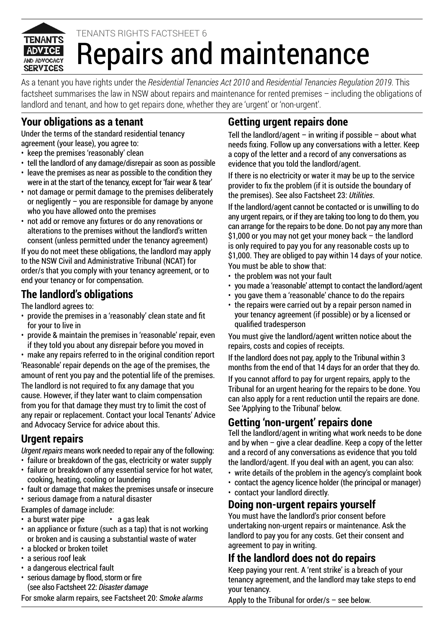

# Repairs and maintenance TENANTS RIGHTS FACTSHEET 6

As a tenant you have rights under the *Residential Tenancies Act 2010* and *Residential Tenancies Regulation 2019*. This factsheet summarises the law in NSW about repairs and maintenance for rented premises – including the obligations of landlord and tenant, and how to get repairs done, whether they are 'urgent' or 'non-urgent'.

### **Your obligations as a tenant**

Under the terms of the standard residential tenancy agreement (your lease), you agree to:

- keep the premises 'reasonably' clean
- tell the landlord of any damage/disrepair as soon as possible
- leave the premises as near as possible to the condition they were in at the start of the tenancy, except for 'fair wear & tear'
- not damage or permit damage to the premises deliberately or negligently – you are responsible for damage by anyone who you have allowed onto the premises
- not add or remove any fixtures or do any renovations or alterations to the premises without the landlord's written consent (unless permitted under the tenancy agreement)

If you do not meet these obligations, the landlord may apply to the NSW Civil and Administrative Tribunal (NCAT) for order/s that you comply with your tenancy agreement, or to end your tenancy or for compensation.

### **The landlord's obligations**

The landlord agrees to:

- provide the premises in a 'reasonably' clean state and fit for your to live in
- provide & maintain the premises in 'reasonable' repair, even if they told you about any disrepair before you moved in

• make any repairs referred to in the original condition report 'Reasonable' repair depends on the age of the premises, the amount of rent you pay and the potential life of the premises. The landlord is not required to fix any damage that you cause. However, if they later want to claim compensation from you for that damage they must try to limit the cost of any repair or replacement. Contact your local Tenants' Advice and Advocacy Service for advice about this.

### **Urgent repairs**

*Urgent repairs* means work needed to repair any of the following:

- failure or breakdown of the gas, electricity or water supply • failure or breakdown of any essential service for hot water, cooking, heating, cooling or laundering
- fault or damage that makes the premises unsafe or insecure
- serious damage from a natural disaster

Examples of damage include:

- a burst water pipe a gas leak
- an appliance or fixture (such as a tap) that is not working or broken and is causing a substantial waste of water
- a blocked or broken toilet
- a serious roof leak
- a dangerous electrical fault
- serious damage by flood, storm or fire (see also Factsheet 22: *Disaster damage*

For smoke alarm repairs, see Factsheet 20: *Smoke alarms*

## **Getting urgent repairs done**

Tell the landlord/agent – in writing if possible – about what needs fixing. Follow up any conversations with a letter. Keep a copy of the letter and a record of any conversations as evidence that you told the landlord/agent.

If there is no electricity or water it may be up to the service provider to fix the problem (if it is outside the boundary of the premises). See also Factsheet 23: *Utilities*.

If the landlord/agent cannot be contacted or is unwilling to do any urgent repairs, or if they are taking too long to do them, you can arrange for the repairs to be done. Do not pay any more than \$1,000 or you may not get your money back – the landlord is only required to pay you for any reasonable costs up to \$1,000. They are obliged to pay within 14 days of your notice. You must be able to show that:

- the problem was not your fault
- you made a 'reasonable' attempt to contact the landlord/agent
- you gave them a 'reasonable' chance to do the repairs
- the repairs were carried out by a repair person named in your tenancy agreement (if possible) or by a licensed or qualified tradesperson

You must give the landlord/agent written notice about the repairs, costs and copies of receipts.

If the landlord does not pay, apply to the Tribunal within 3 months from the end of that 14 days for an order that they do.

If you cannot afford to pay for urgent repairs, apply to the Tribunal for an urgent hearing for the repairs to be done. You can also apply for a rent reduction until the repairs are done. See 'Applying to the Tribunal' below.

### **Getting 'non-urgent' repairs done**

Tell the landlord/agent in writing what work needs to be done and by when – give a clear deadline. Keep a copy of the letter and a record of any conversations as evidence that you told the landlord/agent. If you deal with an agent, you can also:

- write details of the problem in the agency's complaint book
- contact the agency licence holder (the principal or manager)
- contact your landlord directly.

### **Doing non-urgent repairs yourself**

You must have the landlord's prior consent before undertaking non-urgent repairs or maintenance. Ask the landlord to pay you for any costs. Get their consent and agreement to pay in writing.

# **If the landlord does not do repairs**

Keep paying your rent. A 'rent strike' is a breach of your tenancy agreement, and the landlord may take steps to end your tenancy.

Apply to the Tribunal for order/s – see below.